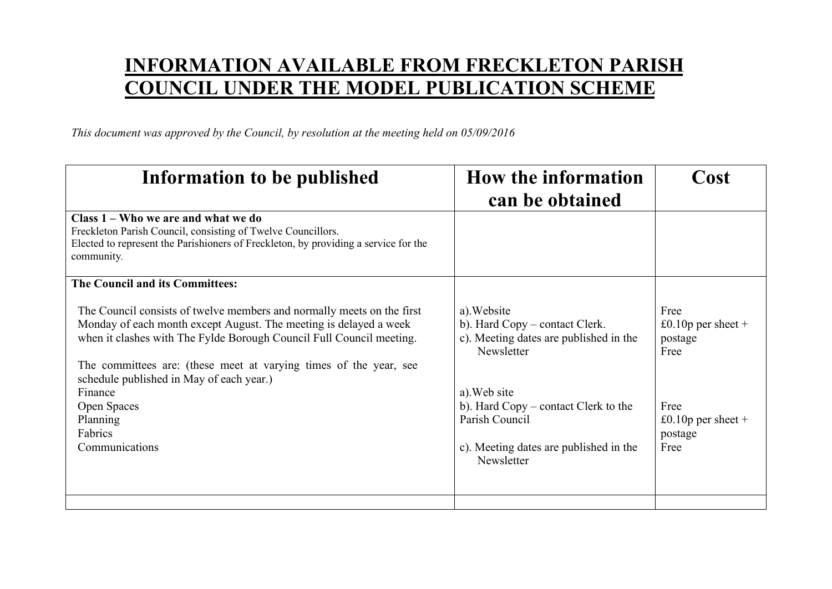## **INFORMATION AVAILABLE FROM FRECKLETON PARISH COUNCIL UNDER THE MODEL PUBLICATION SCHEME**

*This document was approved by the Council, by resolution at the meeting held on 05/09/2016* 

| Information to be published                                                                                                                                                                                                                                                                                                                                                                             | <b>How the information</b><br>can be obtained                                                                                                                                                                                           | Cost                                                                                                 |
|---------------------------------------------------------------------------------------------------------------------------------------------------------------------------------------------------------------------------------------------------------------------------------------------------------------------------------------------------------------------------------------------------------|-----------------------------------------------------------------------------------------------------------------------------------------------------------------------------------------------------------------------------------------|------------------------------------------------------------------------------------------------------|
| Class 1 – Who we are and what we do<br>Freckleton Parish Council, consisting of Twelve Councillors.<br>Elected to represent the Parishioners of Freckleton, by providing a service for the<br>community.                                                                                                                                                                                                |                                                                                                                                                                                                                                         |                                                                                                      |
| The Council and its Committees:                                                                                                                                                                                                                                                                                                                                                                         |                                                                                                                                                                                                                                         |                                                                                                      |
| The Council consists of twelve members and normally meets on the first<br>Monday of each month except August. The meeting is delayed a week<br>when it clashes with The Fylde Borough Council Full Council meeting.<br>The committees are: (these meet at varying times of the year, see<br>schedule published in May of each year.)<br>Finance<br>Open Spaces<br>Planning<br>Fabrics<br>Communications | a). Website<br>b). Hard Copy – contact Clerk.<br>c). Meeting dates are published in the<br>Newsletter<br>a). Web site<br>b). Hard Copy – contact Clerk to the<br>Parish Council<br>c). Meeting dates are published in the<br>Newsletter | Free<br>£0.10 $p$ per sheet +<br>postage<br>Free<br>Free<br>£0.10 $p$ per sheet +<br>postage<br>Free |
|                                                                                                                                                                                                                                                                                                                                                                                                         |                                                                                                                                                                                                                                         |                                                                                                      |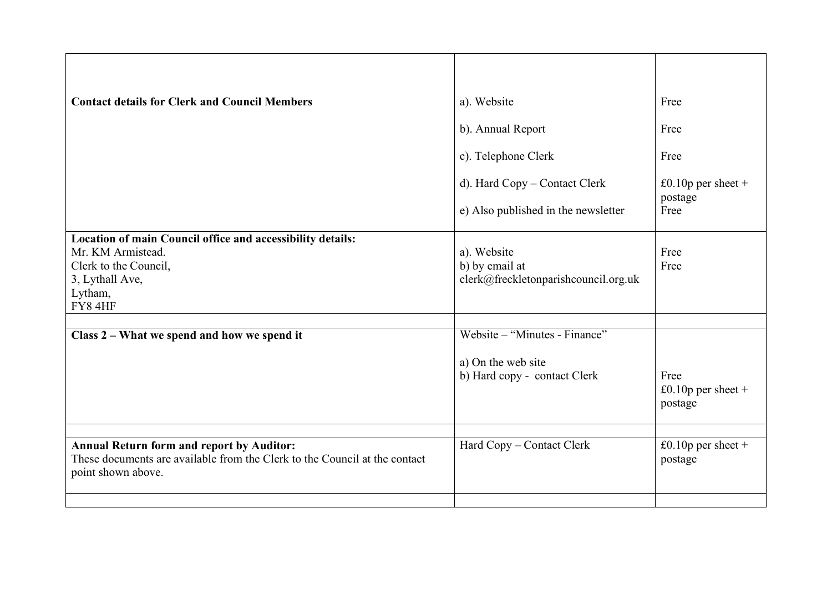| <b>Contact details for Clerk and Council Members</b>                                                                                                 | a). Website                                                           | Free                                  |
|------------------------------------------------------------------------------------------------------------------------------------------------------|-----------------------------------------------------------------------|---------------------------------------|
|                                                                                                                                                      | b). Annual Report                                                     | Free                                  |
|                                                                                                                                                      | c). Telephone Clerk                                                   | Free                                  |
|                                                                                                                                                      | d). Hard Copy – Contact Clerk                                         | £0.10 $p$ per sheet +<br>postage      |
|                                                                                                                                                      | e) Also published in the newsletter                                   | Free                                  |
| Location of main Council office and accessibility details:<br>Mr. KM Armistead.<br>Clerk to the Council,<br>3, Lythall Ave,<br>Lytham,<br>FY84HF     | a). Website<br>b) by email at<br>clerk@freckletonparishcouncil.org.uk | Free<br>Free                          |
| Class 2 – What we spend and how we spend it                                                                                                          | Website – "Minutes - Finance"                                         |                                       |
|                                                                                                                                                      | a) On the web site<br>b) Hard copy - contact Clerk                    | Free<br>£0.10p per sheet +<br>postage |
| <b>Annual Return form and report by Auditor:</b><br>These documents are available from the Clerk to the Council at the contact<br>point shown above. | Hard Copy - Contact Clerk                                             | £0.10 $p$ per sheet +<br>postage      |
|                                                                                                                                                      |                                                                       |                                       |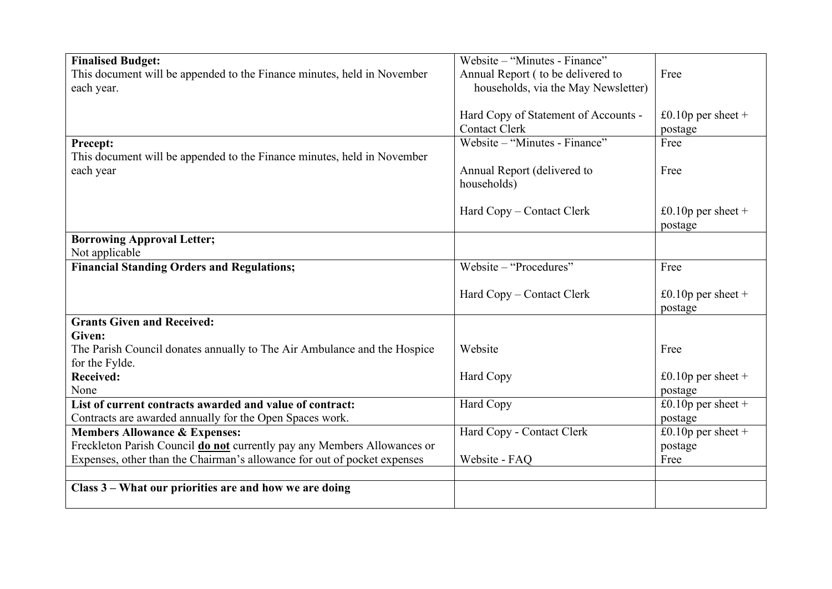| <b>Finalised Budget:</b>                                                 | Website – "Minutes - Finance"        |                       |
|--------------------------------------------------------------------------|--------------------------------------|-----------------------|
| This document will be appended to the Finance minutes, held in November  | Annual Report (to be delivered to    | Free                  |
| each year.                                                               | households, via the May Newsletter)  |                       |
|                                                                          |                                      |                       |
|                                                                          | Hard Copy of Statement of Accounts - | £0.10p per sheet +    |
|                                                                          | <b>Contact Clerk</b>                 | postage               |
| <b>Precept:</b>                                                          | Website – "Minutes - Finance"        | Free                  |
| This document will be appended to the Finance minutes, held in November  |                                      |                       |
| each year                                                                | Annual Report (delivered to          | Free                  |
|                                                                          | households)                          |                       |
|                                                                          |                                      |                       |
|                                                                          | Hard Copy – Contact Clerk            | £0.10 $p$ per sheet + |
|                                                                          |                                      | postage               |
| <b>Borrowing Approval Letter;</b>                                        |                                      |                       |
| Not applicable                                                           |                                      |                       |
| <b>Financial Standing Orders and Regulations;</b>                        | Website - "Procedures"               | Free                  |
|                                                                          |                                      |                       |
|                                                                          | Hard Copy – Contact Clerk            | £0.10 $p$ per sheet + |
| <b>Grants Given and Received:</b>                                        |                                      | postage               |
| Given:                                                                   |                                      |                       |
| The Parish Council donates annually to The Air Ambulance and the Hospice | Website                              | Free                  |
| for the Fylde.                                                           |                                      |                       |
| <b>Received:</b>                                                         | Hard Copy                            | £0.10 $p$ per sheet + |
| None                                                                     |                                      | postage               |
| List of current contracts awarded and value of contract:                 | Hard Copy                            | £0.10 $p$ per sheet + |
| Contracts are awarded annually for the Open Spaces work.                 |                                      | postage               |
| <b>Members Allowance &amp; Expenses:</b>                                 | Hard Copy - Contact Clerk            | £0.10p per sheet +    |
| Freckleton Parish Council do not currently pay any Members Allowances or |                                      | postage               |
| Expenses, other than the Chairman's allowance for out of pocket expenses | Website - FAQ                        | Free                  |
|                                                                          |                                      |                       |
| Class 3 – What our priorities are and how we are doing                   |                                      |                       |
|                                                                          |                                      |                       |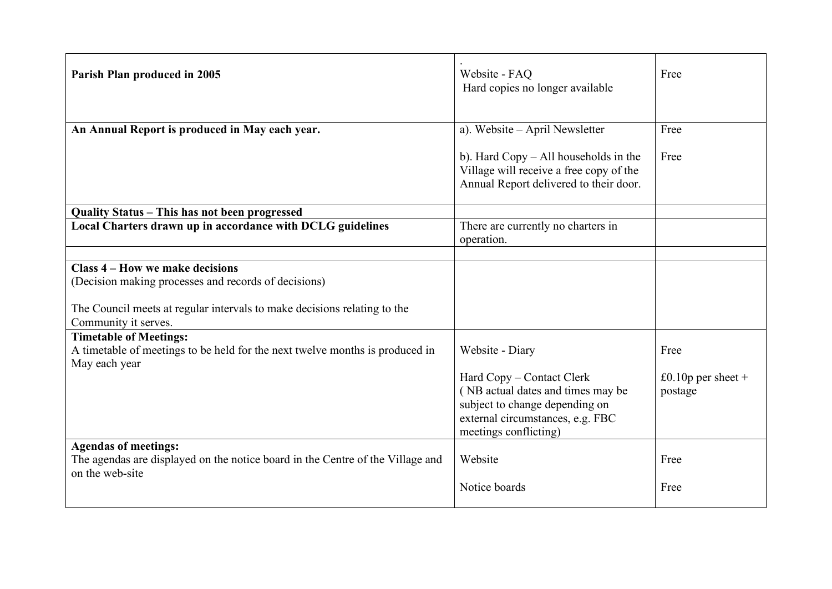| Parish Plan produced in 2005                                                                      | Website - FAQ<br>Hard copies no longer available                                                                                                              | Free                             |
|---------------------------------------------------------------------------------------------------|---------------------------------------------------------------------------------------------------------------------------------------------------------------|----------------------------------|
| An Annual Report is produced in May each year.                                                    | a). Website - April Newsletter                                                                                                                                | Free                             |
|                                                                                                   | b). Hard $Copy - All$ households in the<br>Village will receive a free copy of the<br>Annual Report delivered to their door.                                  | Free                             |
| Quality Status - This has not been progressed                                                     |                                                                                                                                                               |                                  |
| Local Charters drawn up in accordance with DCLG guidelines                                        | There are currently no charters in<br>operation.                                                                                                              |                                  |
|                                                                                                   |                                                                                                                                                               |                                  |
| Class 4 – How we make decisions<br>(Decision making processes and records of decisions)           |                                                                                                                                                               |                                  |
| The Council meets at regular intervals to make decisions relating to the<br>Community it serves.  |                                                                                                                                                               |                                  |
| <b>Timetable of Meetings:</b>                                                                     |                                                                                                                                                               |                                  |
| A timetable of meetings to be held for the next twelve months is produced in<br>May each year     | Website - Diary                                                                                                                                               | Free                             |
|                                                                                                   | Hard Copy – Contact Clerk<br>(NB actual dates and times may be<br>subject to change depending on<br>external circumstances, e.g. FBC<br>meetings conflicting) | £0.10 $p$ per sheet +<br>postage |
| <b>Agendas of meetings:</b>                                                                       |                                                                                                                                                               |                                  |
| The agendas are displayed on the notice board in the Centre of the Village and<br>on the web-site | Website                                                                                                                                                       | Free                             |
|                                                                                                   | Notice boards                                                                                                                                                 | Free                             |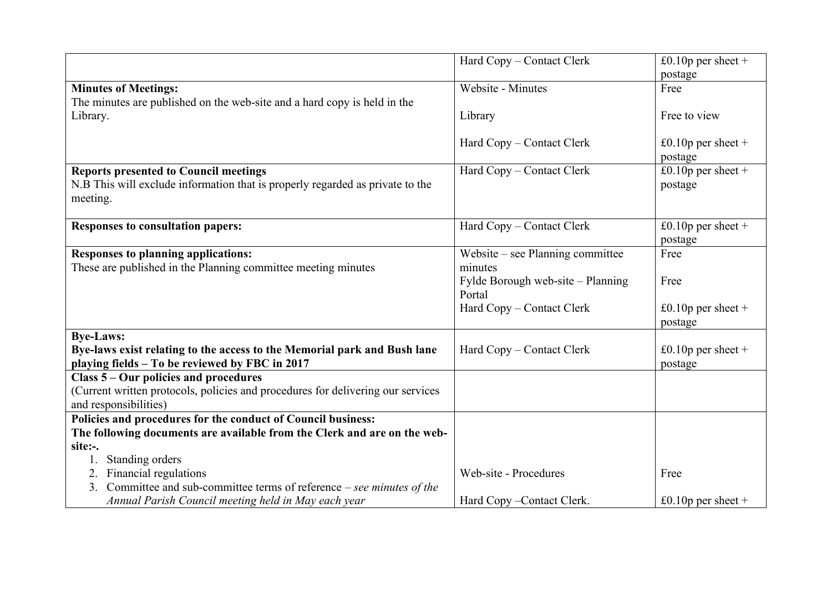|                                                                                       | Hard Copy – Contact Clerk         | £0.10 $p$ per sheet + |
|---------------------------------------------------------------------------------------|-----------------------------------|-----------------------|
|                                                                                       |                                   | postage               |
| <b>Minutes of Meetings:</b>                                                           | Website - Minutes                 | Free                  |
| The minutes are published on the web-site and a hard copy is held in the              |                                   |                       |
| Library.                                                                              | Library                           | Free to view          |
|                                                                                       |                                   |                       |
|                                                                                       | Hard Copy – Contact Clerk         | £0.10 $p$ per sheet + |
|                                                                                       |                                   | postage               |
| <b>Reports presented to Council meetings</b>                                          | Hard Copy – Contact Clerk         | £0.10p per sheet +    |
| N.B This will exclude information that is properly regarded as private to the         |                                   | postage               |
| meeting.                                                                              |                                   |                       |
|                                                                                       |                                   |                       |
| <b>Responses to consultation papers:</b>                                              | Hard Copy – Contact Clerk         | £0.10 $p$ per sheet + |
|                                                                                       |                                   | postage               |
| <b>Responses to planning applications:</b>                                            | Website – see Planning committee  | Free                  |
| These are published in the Planning committee meeting minutes                         | minutes                           |                       |
|                                                                                       | Fylde Borough web-site – Planning | Free                  |
|                                                                                       | Portal                            |                       |
|                                                                                       | Hard Copy – Contact Clerk         | £0.10 $p$ per sheet + |
|                                                                                       |                                   | postage               |
| <b>Bye-Laws:</b>                                                                      |                                   |                       |
| Bye-laws exist relating to the access to the Memorial park and Bush lane              | Hard Copy – Contact Clerk         | £0.10 $p$ per sheet + |
| playing fields - To be reviewed by FBC in 2017                                        |                                   | postage               |
| Class 5 – Our policies and procedures                                                 |                                   |                       |
| (Current written protocols, policies and procedures for delivering our services       |                                   |                       |
| and responsibilities)<br>Policies and procedures for the conduct of Council business: |                                   |                       |
|                                                                                       |                                   |                       |
| The following documents are available from the Clerk and are on the web-<br>site:-.   |                                   |                       |
| Standing orders<br>1.                                                                 |                                   |                       |
| Financial regulations<br>2.                                                           | Web-site - Procedures             | Free                  |
| Committee and sub-committee terms of reference – see minutes of the<br>3.             |                                   |                       |
|                                                                                       |                                   |                       |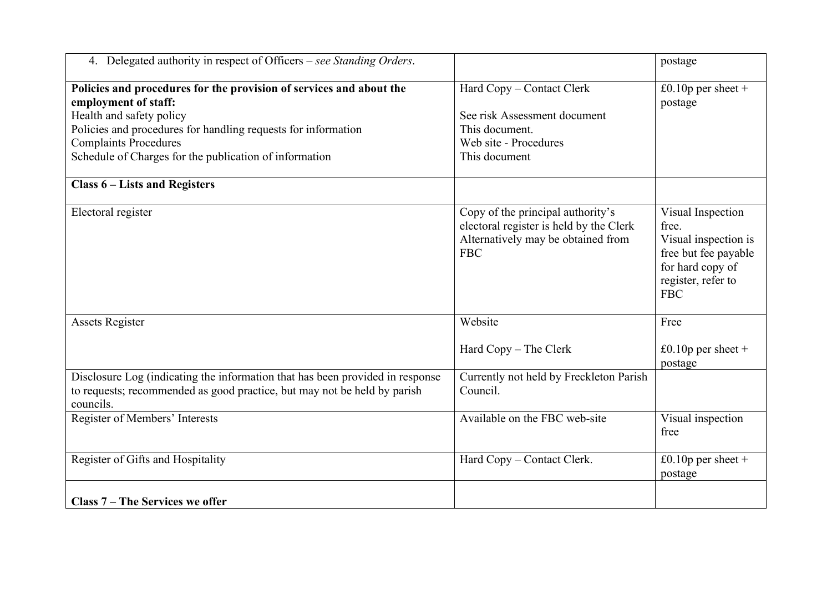| 4. Delegated authority in respect of Officers - see Standing Orders.                                                                                                                                                                                                               |                                                                                                                                  | postage                                                                                                                            |
|------------------------------------------------------------------------------------------------------------------------------------------------------------------------------------------------------------------------------------------------------------------------------------|----------------------------------------------------------------------------------------------------------------------------------|------------------------------------------------------------------------------------------------------------------------------------|
| Policies and procedures for the provision of services and about the<br>employment of staff:<br>Health and safety policy<br>Policies and procedures for handling requests for information<br><b>Complaints Procedures</b><br>Schedule of Charges for the publication of information | Hard Copy - Contact Clerk<br>See risk Assessment document<br>This document.<br>Web site - Procedures<br>This document            | £0.10 $p$ per sheet +<br>postage                                                                                                   |
| <b>Class 6 – Lists and Registers</b>                                                                                                                                                                                                                                               |                                                                                                                                  |                                                                                                                                    |
| Electoral register                                                                                                                                                                                                                                                                 | Copy of the principal authority's<br>electoral register is held by the Clerk<br>Alternatively may be obtained from<br><b>FBC</b> | Visual Inspection<br>free.<br>Visual inspection is<br>free but fee payable<br>for hard copy of<br>register, refer to<br><b>FBC</b> |
| <b>Assets Register</b>                                                                                                                                                                                                                                                             | Website                                                                                                                          | Free                                                                                                                               |
|                                                                                                                                                                                                                                                                                    | Hard Copy - The Clerk                                                                                                            | £0.10 $p$ per sheet +<br>postage                                                                                                   |
| Disclosure Log (indicating the information that has been provided in response<br>to requests; recommended as good practice, but may not be held by parish<br>councils.                                                                                                             | Currently not held by Freckleton Parish<br>Council.                                                                              |                                                                                                                                    |
| Register of Members' Interests                                                                                                                                                                                                                                                     | Available on the FBC web-site                                                                                                    | Visual inspection<br>free                                                                                                          |
| Register of Gifts and Hospitality                                                                                                                                                                                                                                                  | Hard Copy - Contact Clerk.                                                                                                       | £0.10 $p$ per sheet +<br>postage                                                                                                   |
| Class 7 – The Services we offer                                                                                                                                                                                                                                                    |                                                                                                                                  |                                                                                                                                    |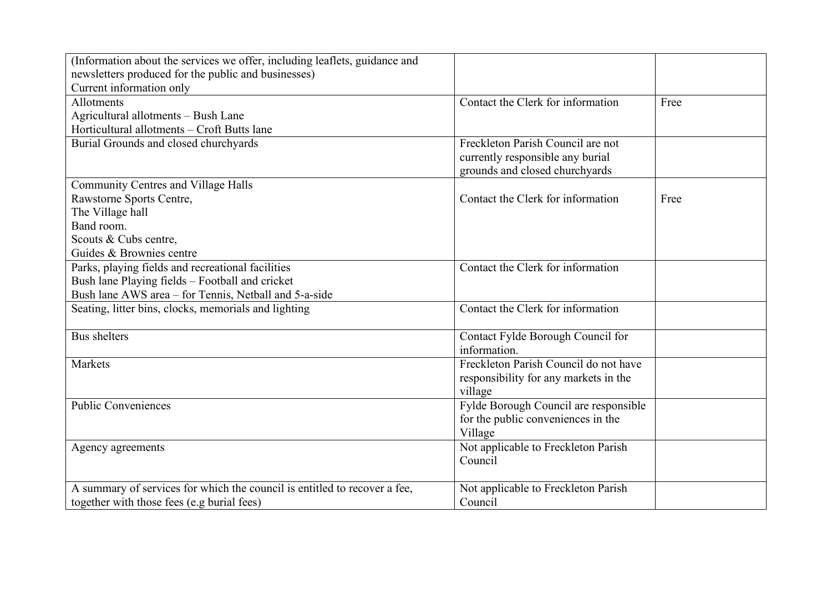| (Information about the services we offer, including leaflets, guidance and |                                       |      |
|----------------------------------------------------------------------------|---------------------------------------|------|
| newsletters produced for the public and businesses)                        |                                       |      |
| Current information only                                                   |                                       |      |
| Allotments                                                                 | Contact the Clerk for information     | Free |
| Agricultural allotments - Bush Lane                                        |                                       |      |
| Horticultural allotments - Croft Butts lane                                |                                       |      |
| Burial Grounds and closed churchyards                                      | Freckleton Parish Council are not     |      |
|                                                                            | currently responsible any burial      |      |
|                                                                            | grounds and closed churchyards        |      |
| <b>Community Centres and Village Halls</b>                                 |                                       |      |
| Rawstorne Sports Centre,                                                   | Contact the Clerk for information     | Free |
| The Village hall                                                           |                                       |      |
| Band room.                                                                 |                                       |      |
| Scouts & Cubs centre,                                                      |                                       |      |
| Guides & Brownies centre                                                   |                                       |      |
| Parks, playing fields and recreational facilities                          | Contact the Clerk for information     |      |
| Bush lane Playing fields - Football and cricket                            |                                       |      |
| Bush lane AWS area – for Tennis, Netball and 5-a-side                      |                                       |      |
| Seating, litter bins, clocks, memorials and lighting                       | Contact the Clerk for information     |      |
|                                                                            |                                       |      |
| <b>Bus shelters</b>                                                        | Contact Fylde Borough Council for     |      |
|                                                                            | information.                          |      |
| Markets                                                                    | Freckleton Parish Council do not have |      |
|                                                                            | responsibility for any markets in the |      |
|                                                                            | village                               |      |
| Public Conveniences                                                        | Fylde Borough Council are responsible |      |
|                                                                            | for the public conveniences in the    |      |
|                                                                            | Village                               |      |
| Agency agreements                                                          | Not applicable to Freckleton Parish   |      |
|                                                                            | Council                               |      |
|                                                                            |                                       |      |
| A summary of services for which the council is entitled to recover a fee,  | Not applicable to Freckleton Parish   |      |
| together with those fees (e.g burial fees)                                 | Council                               |      |